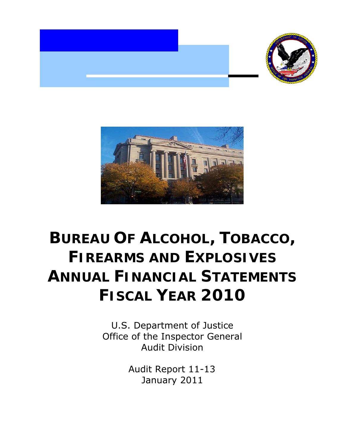



## **BUREAU OF ALCOHOL, TOBACCO, FIREARMS AND EXPLOSIVES ANNUAL FINANCIAL STATEMENTS FISCAL YEAR 2010**

U.S. Department of Justice Office of the Inspector General Audit Division

> Audit Report 11-13 January 2011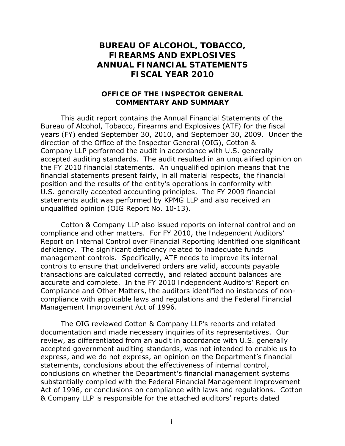## **BUREAU OF ALCOHOL, TOBACCO, FIREARMS AND EXPLOSIVES ANNUAL FINANCIAL STATEMENTS FISCAL YEAR 2010**

## **OFFICE OF THE INSPECTOR GENERAL COMMENTARY AND SUMMARY**

This audit report contains the Annual Financial Statements of the Bureau of Alcohol, Tobacco, Firearms and Explosives (ATF) for the fiscal years (FY) ended September 30, 2010, and September 30, 2009. Under the direction of the Office of the Inspector General (OIG), Cotton & Company LLP performed the audit in accordance with U.S. generally accepted auditing standards. The audit resulted in an unqualified opinion on the FY 2010 financial statements. An unqualified opinion means that the financial statements present fairly, in all material respects, the financial position and the results of the entity's operations in conformity with U.S. generally accepted accounting principles. The FY 2009 financial statements audit was performed by KPMG LLP and also received an unqualified opinion (OIG Report No. 10-13).

Cotton & Company LLP also issued reports on internal control and on compliance and other matters. For FY 2010, the *Independent Auditors' Report on Internal Control over Financial Reporting* identified one significant deficiency. The significant deficiency related to inadequate funds management controls. Specifically, ATF needs to improve its internal controls to ensure that undelivered orders are valid, accounts payable transactions are calculated correctly, and related account balances are accurate and complete. In the FY 2010 *Independent Auditors' Report on Compliance and Other Matters*, the auditors identified no instances of noncompliance with applicable laws and regulations and the *Federal Financial Management Improvement Act of 1996*.

The OIG reviewed Cotton & Company LLP's reports and related documentation and made necessary inquiries of its representatives. Our review, as differentiated from an audit in accordance with U.S. generally accepted government auditing standards, was not intended to enable us to express, and we do not express, an opinion on the Department's financial statements, conclusions about the effectiveness of internal control, conclusions on whether the Department's financial management systems substantially complied with the *Federal Financial Management Improvement Act of 1996*, or conclusions on compliance with laws and regulations. Cotton & Company LLP is responsible for the attached auditors' reports dated